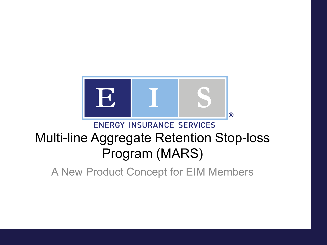

#### **ENERGY INSURANCE SERVICES**

#### Multi-line Aggregate Retention Stop-loss Program (MARS)

A New Product Concept for EIM Members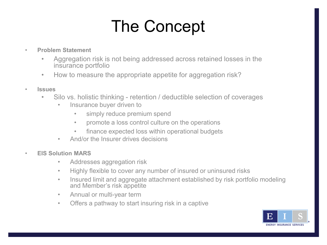## The Concept

- **Problem Statement**
	- Aggregation risk is not being addressed across retained losses in the insurance portfolio
	- How to measure the appropriate appetite for aggregation risk?
- **Issues**
	- Silo vs. holistic thinking retention / deductible selection of coverages
		- Insurance buyer driven to
			- simply reduce premium spend
			- promote a loss control culture on the operations
			- finance expected loss within operational budgets
		- And/or the Insurer drives decisions
- **EIS Solution MARS**
	- Addresses aggregation risk
	- Highly flexible to cover any number of insured or uninsured risks
	- Insured limit and aggregate attachment established by risk portfolio modeling and Member's risk appetite
	- Annual or multi-year term
	- Offers a pathway to start insuring risk in a captive

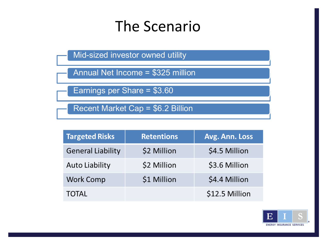### The Scenario

Mid-sized investor owned utility

Annual Net Income = \$325 million

Earnings per Share = \$3.60

Recent Market Cap = \$6.2 Billion

| <b>Targeted Risks</b>    | <b>Retentions</b> | Avg. Ann. Loss |
|--------------------------|-------------------|----------------|
| <b>General Liability</b> | \$2 Million       | \$4.5 Million  |
| <b>Auto Liability</b>    | \$2 Million       | \$3.6 Million  |
| <b>Work Comp</b>         | \$1 Million       | \$4.4 Million  |
| TOTAL                    |                   | \$12.5 Million |

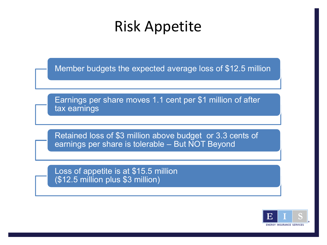### Risk Appetite

Member budgets the expected average loss of \$12.5 million

Earnings per share moves 1.1 cent per \$1 million of after tax earnings

Retained loss of \$3 million above budget or 3.3 cents of earnings per share is tolerable – But NOT Beyond

Loss of appetite is at \$15.5 million (\$12.5 million plus \$3 million)

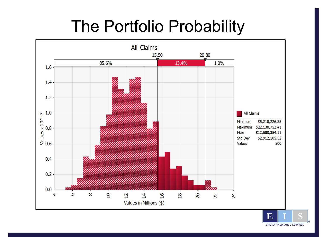## The Portfolio Probability